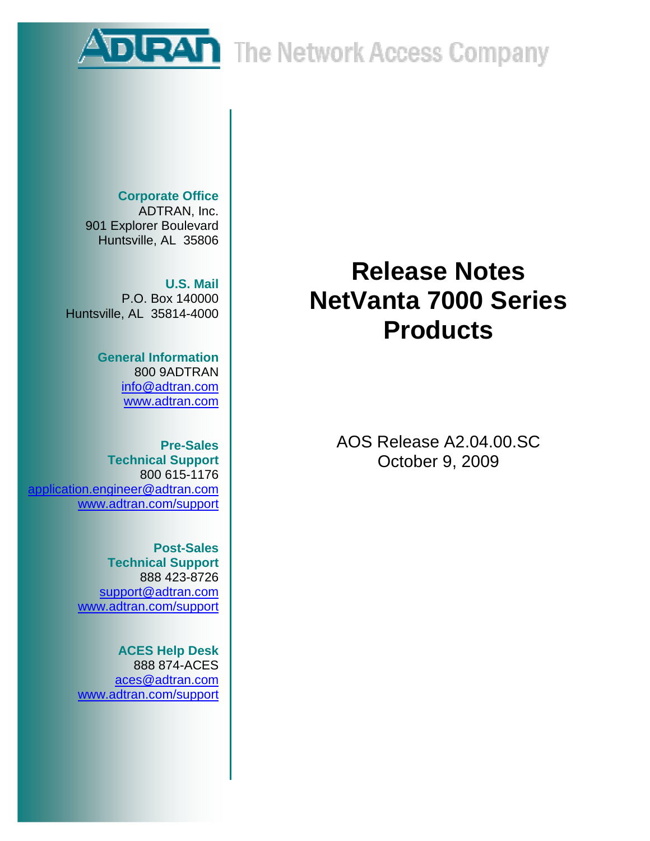**DURAN** The Network Access Company

**Corporate Office**  ADTRAN, Inc. 901 Explorer Boulevard Huntsville, AL 35806

**U.S. Mail**  P.O. Box 140000 Huntsville, AL 35814-4000

> **General Information**  800 9ADTRAN info@adtran.com www.adtran.com

**Pre-Sales Technical Support** 800 615-1176 application.engineer@adtran.com www.adtran.com/support

> **Post-Sales Technical Support** 888 423-8726 support@adtran.com www.adtran.com/support

> **ACES Help Desk**  888 874-ACES aces@adtran.com www.adtran.com/support

# **Release Notes NetVanta 7000 Series Products**

AOS Release A2.04.00.SC October 9, 2009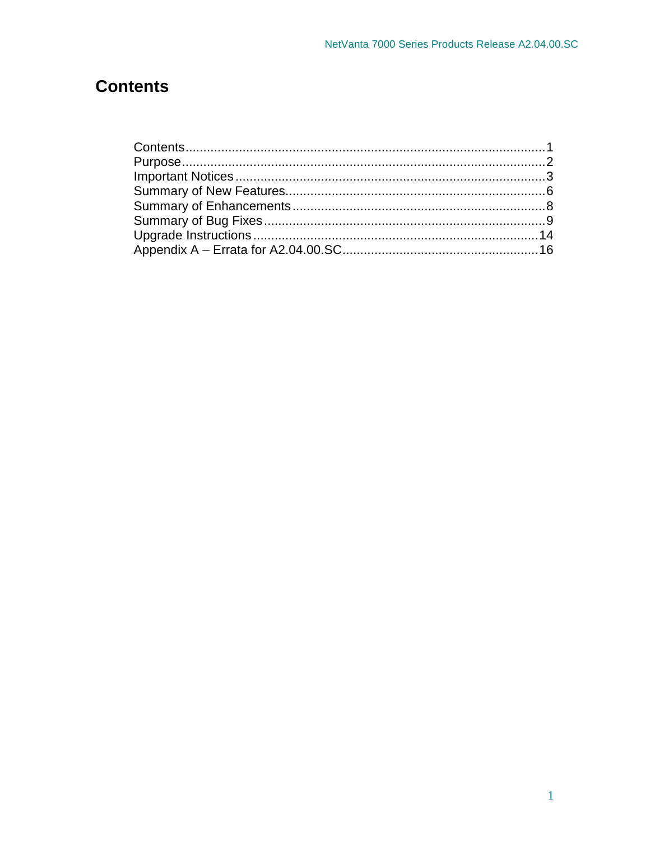## **Contents**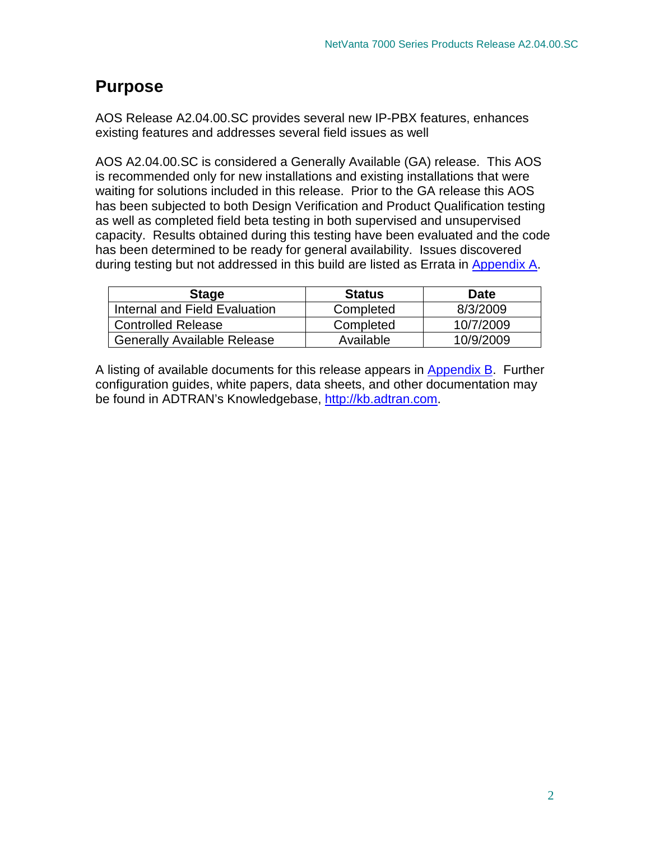## **Purpose**

AOS Release A2.04.00.SC provides several new IP-PBX features, enhances existing features and addresses several field issues as well

AOS A2.04.00.SC is considered a Generally Available (GA) release. This AOS is recommended only for new installations and existing installations that were waiting for solutions included in this release. Prior to the GA release this AOS has been subjected to both Design Verification and Product Qualification testing as well as completed field beta testing in both supervised and unsupervised capacity. Results obtained during this testing have been evaluated and the code has been determined to be ready for general availability. Issues discovered during testing but not addressed in this build are listed as Errata in Appendix A.

| <b>Stage</b>                       | <b>Status</b> | <b>Date</b> |
|------------------------------------|---------------|-------------|
| Internal and Field Evaluation      | Completed     | 8/3/2009    |
| <b>Controlled Release</b>          | Completed     | 10/7/2009   |
| <b>Generally Available Release</b> | Available     | 10/9/2009   |

A listing of available documents for this release appears in Appendix B. Further configuration guides, white papers, data sheets, and other documentation may be found in ADTRAN's Knowledgebase, http://kb.adtran.com.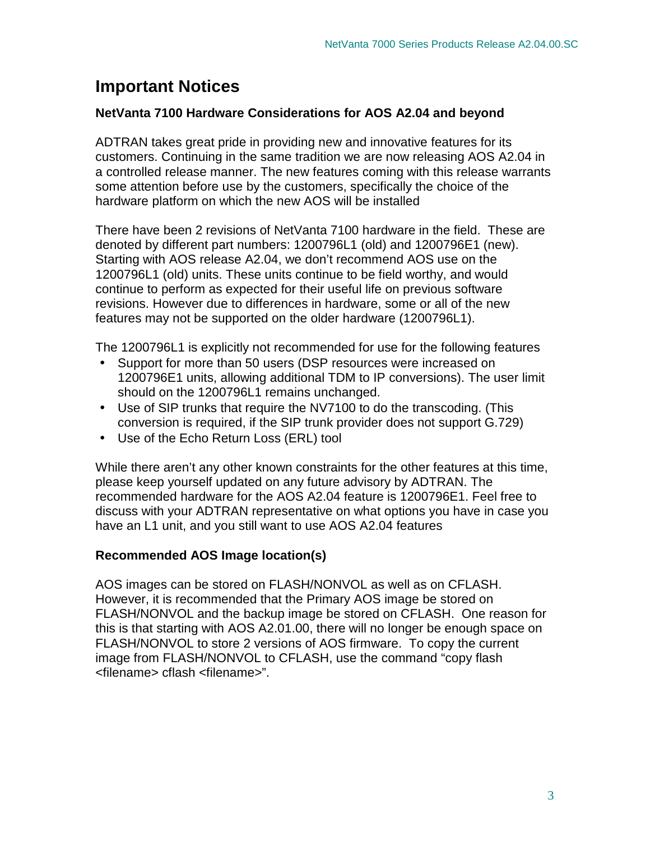## **Important Notices**

## **NetVanta 7100 Hardware Considerations for AOS A2.04 and beyond**

ADTRAN takes great pride in providing new and innovative features for its customers. Continuing in the same tradition we are now releasing AOS A2.04 in a controlled release manner. The new features coming with this release warrants some attention before use by the customers, specifically the choice of the hardware platform on which the new AOS will be installed

There have been 2 revisions of NetVanta 7100 hardware in the field. These are denoted by different part numbers: 1200796L1 (old) and 1200796E1 (new). Starting with AOS release A2.04, we don't recommend AOS use on the 1200796L1 (old) units. These units continue to be field worthy, and would continue to perform as expected for their useful life on previous software revisions. However due to differences in hardware, some or all of the new features may not be supported on the older hardware (1200796L1).

The 1200796L1 is explicitly not recommended for use for the following features

- Support for more than 50 users (DSP resources were increased on 1200796E1 units, allowing additional TDM to IP conversions). The user limit should on the 1200796L1 remains unchanged.
- Use of SIP trunks that require the NV7100 to do the transcoding. (This conversion is required, if the SIP trunk provider does not support G.729)
- Use of the Echo Return Loss (ERL) tool

While there aren't any other known constraints for the other features at this time, please keep yourself updated on any future advisory by ADTRAN. The recommended hardware for the AOS A2.04 feature is 1200796E1. Feel free to discuss with your ADTRAN representative on what options you have in case you have an L1 unit, and you still want to use AOS A2.04 features

## **Recommended AOS Image location(s)**

AOS images can be stored on FLASH/NONVOL as well as on CFLASH. However, it is recommended that the Primary AOS image be stored on FLASH/NONVOL and the backup image be stored on CFLASH. One reason for this is that starting with AOS A2.01.00, there will no longer be enough space on FLASH/NONVOL to store 2 versions of AOS firmware. To copy the current image from FLASH/NONVOL to CFLASH, use the command "copy flash <filename> cflash <filename>".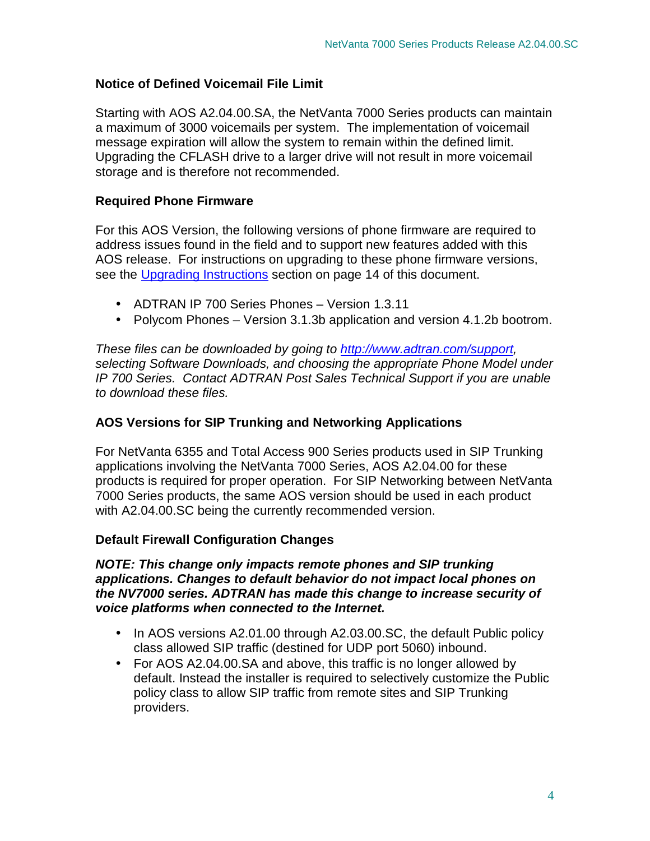## **Notice of Defined Voicemail File Limit**

Starting with AOS A2.04.00.SA, the NetVanta 7000 Series products can maintain a maximum of 3000 voicemails per system. The implementation of voicemail message expiration will allow the system to remain within the defined limit. Upgrading the CFLASH drive to a larger drive will not result in more voicemail storage and is therefore not recommended.

## **Required Phone Firmware**

For this AOS Version, the following versions of phone firmware are required to address issues found in the field and to support new features added with this AOS release. For instructions on upgrading to these phone firmware versions, see the Upgrading Instructions section on page 14 of this document.

- ADTRAN IP 700 Series Phones Version 1.3.11
- Polycom Phones Version 3.1.3b application and version 4.1.2b bootrom.

These files can be downloaded by going to http://www.adtran.com/support, selecting Software Downloads, and choosing the appropriate Phone Model under IP 700 Series. Contact ADTRAN Post Sales Technical Support if you are unable to download these files.

## **AOS Versions for SIP Trunking and Networking Applications**

For NetVanta 6355 and Total Access 900 Series products used in SIP Trunking applications involving the NetVanta 7000 Series, AOS A2.04.00 for these products is required for proper operation. For SIP Networking between NetVanta 7000 Series products, the same AOS version should be used in each product with A2.04.00.SC being the currently recommended version.

## **Default Firewall Configuration Changes**

## **NOTE: This change only impacts remote phones and SIP trunking applications. Changes to default behavior do not impact local phones on the NV7000 series. ADTRAN has made this change to increase security of voice platforms when connected to the Internet.**

- In AOS versions A2.01.00 through A2.03.00.SC, the default Public policy class allowed SIP traffic (destined for UDP port 5060) inbound.
- For AOS A2.04.00. SA and above, this traffic is no longer allowed by default. Instead the installer is required to selectively customize the Public policy class to allow SIP traffic from remote sites and SIP Trunking providers.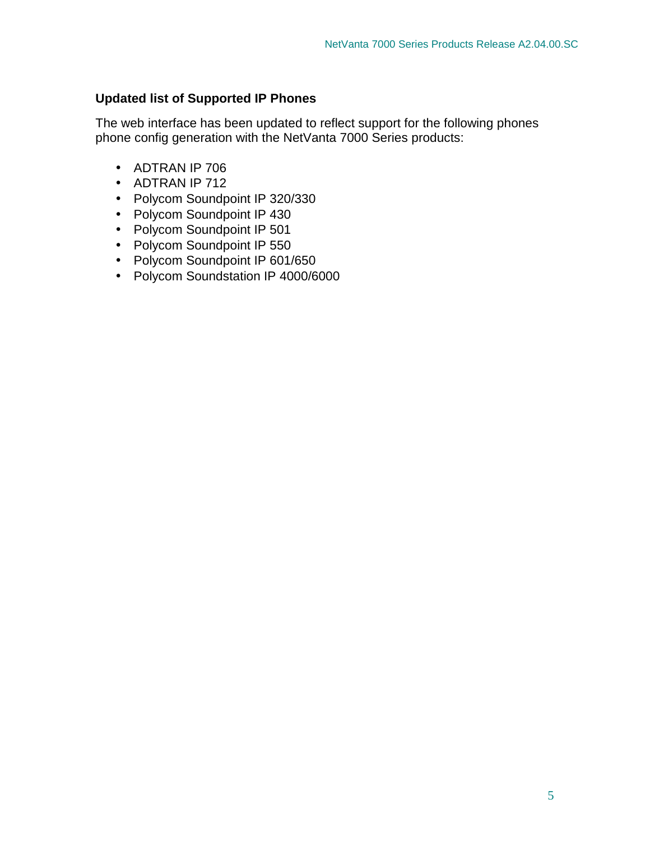## **Updated list of Supported IP Phones**

The web interface has been updated to reflect support for the following phones phone config generation with the NetVanta 7000 Series products:

- ADTRAN IP 706
- ADTRAN IP 712
- Polycom Soundpoint IP 320/330
- Polycom Soundpoint IP 430
- Polycom Soundpoint IP 501
- Polycom Soundpoint IP 550
- Polycom Soundpoint IP 601/650
- Polycom Soundstation IP 4000/6000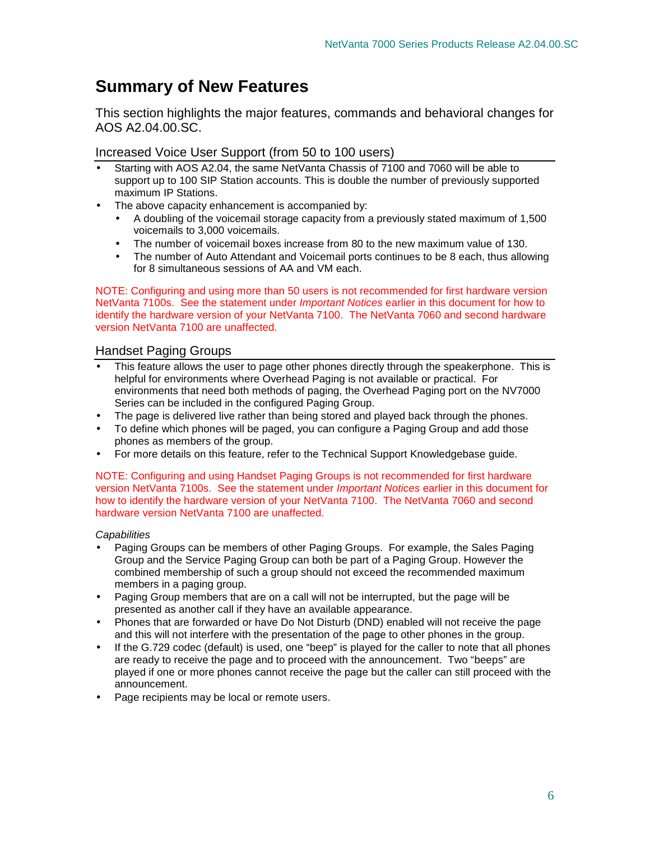## **Summary of New Features**

This section highlights the major features, commands and behavioral changes for AOS A2.04.00.SC.

#### Increased Voice User Support (from 50 to 100 users)

- Starting with AOS A2.04, the same NetVanta Chassis of 7100 and 7060 will be able to support up to 100 SIP Station accounts. This is double the number of previously supported maximum IP Stations.
- The above capacity enhancement is accompanied by:
	- A doubling of the voicemail storage capacity from a previously stated maximum of 1,500 voicemails to 3,000 voicemails.
	- The number of voicemail boxes increase from 80 to the new maximum value of 130.
	- The number of Auto Attendant and Voicemail ports continues to be 8 each, thus allowing for 8 simultaneous sessions of AA and VM each.

NOTE: Configuring and using more than 50 users is not recommended for first hardware version NetVanta 7100s. See the statement under *Important Notices* earlier in this document for how to identify the hardware version of your NetVanta 7100. The NetVanta 7060 and second hardware version NetVanta 7100 are unaffected.

## Handset Paging Groups

- This feature allows the user to page other phones directly through the speakerphone. This is helpful for environments where Overhead Paging is not available or practical. For environments that need both methods of paging, the Overhead Paging port on the NV7000 Series can be included in the configured Paging Group.
- The page is delivered live rather than being stored and played back through the phones.
- To define which phones will be paged, you can configure a Paging Group and add those phones as members of the group.
- For more details on this feature, refer to the Technical Support Knowledgebase guide.

NOTE: Configuring and using Handset Paging Groups is not recommended for first hardware version NetVanta 7100s. See the statement under *Important Notices* earlier in this document for how to identify the hardware version of your NetVanta 7100. The NetVanta 7060 and second hardware version NetVanta 7100 are unaffected.

**Capabilities** 

- Paging Groups can be members of other Paging Groups. For example, the Sales Paging Group and the Service Paging Group can both be part of a Paging Group. However the combined membership of such a group should not exceed the recommended maximum members in a paging group.
- Paging Group members that are on a call will not be interrupted, but the page will be presented as another call if they have an available appearance.
- Phones that are forwarded or have Do Not Disturb (DND) enabled will not receive the page and this will not interfere with the presentation of the page to other phones in the group.
- If the G.729 codec (default) is used, one "beep" is played for the caller to note that all phones are ready to receive the page and to proceed with the announcement. Two "beeps" are played if one or more phones cannot receive the page but the caller can still proceed with the announcement.
- Page recipients may be local or remote users.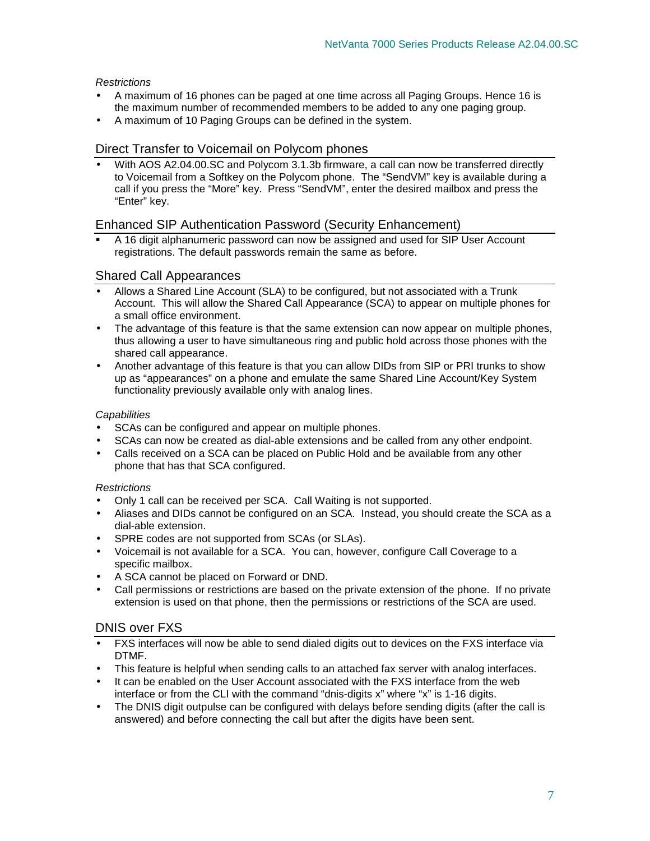#### **Restrictions**

- A maximum of 16 phones can be paged at one time across all Paging Groups. Hence 16 is the maximum number of recommended members to be added to any one paging group.
- A maximum of 10 Paging Groups can be defined in the system.

## Direct Transfer to Voicemail on Polycom phones

• With AOS A2.04.00.SC and Polycom 3.1.3b firmware, a call can now be transferred directly to Voicemail from a Softkey on the Polycom phone. The "SendVM" key is available during a call if you press the "More" key. Press "SendVM", enter the desired mailbox and press the "Enter" key.

## Enhanced SIP Authentication Password (Security Enhancement)

 A 16 digit alphanumeric password can now be assigned and used for SIP User Account registrations. The default passwords remain the same as before.

## Shared Call Appearances

- Allows a Shared Line Account (SLA) to be configured, but not associated with a Trunk Account. This will allow the Shared Call Appearance (SCA) to appear on multiple phones for a small office environment.
- The advantage of this feature is that the same extension can now appear on multiple phones, thus allowing a user to have simultaneous ring and public hold across those phones with the shared call appearance.
- Another advantage of this feature is that you can allow DIDs from SIP or PRI trunks to show up as "appearances" on a phone and emulate the same Shared Line Account/Key System functionality previously available only with analog lines.

#### **Capabilities**

- SCAs can be configured and appear on multiple phones.
- SCAs can now be created as dial-able extensions and be called from any other endpoint.
- Calls received on a SCA can be placed on Public Hold and be available from any other phone that has that SCA configured.

#### **Restrictions**

- Only 1 call can be received per SCA. Call Waiting is not supported.
- Aliases and DIDs cannot be configured on an SCA. Instead, you should create the SCA as a dial-able extension.
- SPRE codes are not supported from SCAs (or SLAs).
- Voicemail is not available for a SCA. You can, however, configure Call Coverage to a specific mailbox.
- A SCA cannot be placed on Forward or DND.
- Call permissions or restrictions are based on the private extension of the phone. If no private extension is used on that phone, then the permissions or restrictions of the SCA are used.

## DNIS over FXS

- FXS interfaces will now be able to send dialed digits out to devices on the FXS interface via DTMF.
- This feature is helpful when sending calls to an attached fax server with analog interfaces.
- It can be enabled on the User Account associated with the FXS interface from the web interface or from the CLI with the command "dnis-digits x" where "x" is 1-16 digits.
- The DNIS digit outpulse can be configured with delays before sending digits (after the call is answered) and before connecting the call but after the digits have been sent.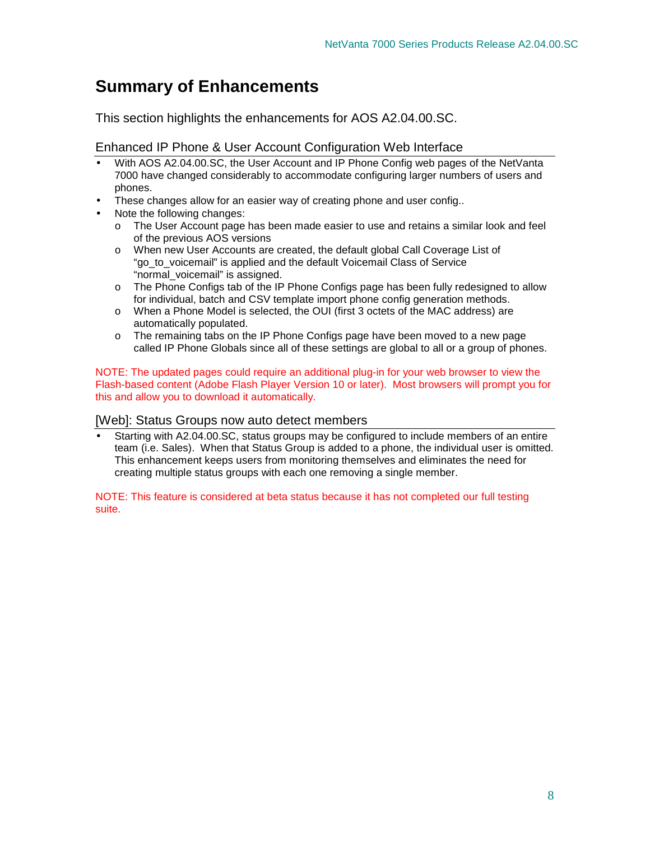## **Summary of Enhancements**

This section highlights the enhancements for AOS A2.04.00.SC.

#### Enhanced IP Phone & User Account Configuration Web Interface

- With AOS A2.04.00.SC, the User Account and IP Phone Config web pages of the NetVanta 7000 have changed considerably to accommodate configuring larger numbers of users and phones.
- These changes allow for an easier way of creating phone and user config..
- Note the following changes:
	- o The User Account page has been made easier to use and retains a similar look and feel of the previous AOS versions
	- o When new User Accounts are created, the default global Call Coverage List of "go\_to\_voicemail" is applied and the default Voicemail Class of Service "normal voicemail" is assigned.
	- o The Phone Configs tab of the IP Phone Configs page has been fully redesigned to allow for individual, batch and CSV template import phone config generation methods.
	- o When a Phone Model is selected, the OUI (first 3 octets of the MAC address) are automatically populated.
	- o The remaining tabs on the IP Phone Configs page have been moved to a new page called IP Phone Globals since all of these settings are global to all or a group of phones.

NOTE: The updated pages could require an additional plug-in for your web browser to view the Flash-based content (Adobe Flash Player Version 10 or later). Most browsers will prompt you for this and allow you to download it automatically.

#### [Web]: Status Groups now auto detect members

• Starting with A2.04.00.SC, status groups may be configured to include members of an entire team (i.e. Sales). When that Status Group is added to a phone, the individual user is omitted. This enhancement keeps users from monitoring themselves and eliminates the need for creating multiple status groups with each one removing a single member.

NOTE: This feature is considered at beta status because it has not completed our full testing suite.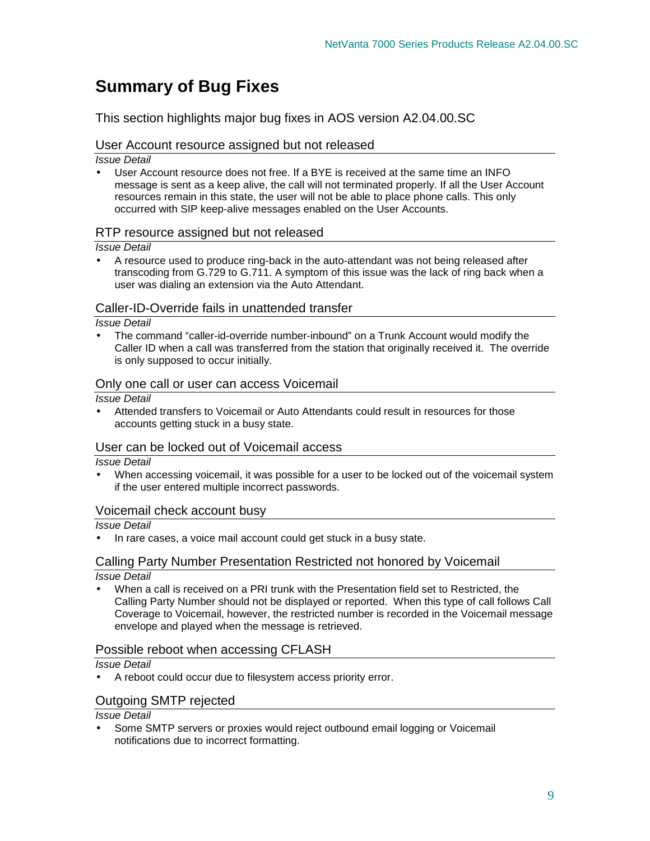## **Summary of Bug Fixes**

This section highlights major bug fixes in AOS version A2.04.00.SC

## User Account resource assigned but not released

Issue Detail

• User Account resource does not free. If a BYE is received at the same time an INFO message is sent as a keep alive, the call will not terminated properly. If all the User Account resources remain in this state, the user will not be able to place phone calls. This only occurred with SIP keep-alive messages enabled on the User Accounts.

#### RTP resource assigned but not released

Issue Detail

• A resource used to produce ring-back in the auto-attendant was not being released after transcoding from G.729 to G.711. A symptom of this issue was the lack of ring back when a user was dialing an extension via the Auto Attendant.

## Caller-ID-Override fails in unattended transfer

Issue Detail

• The command "caller-id-override number-inbound" on a Trunk Account would modify the Caller ID when a call was transferred from the station that originally received it. The override is only supposed to occur initially.

#### Only one call or user can access Voicemail

Issue Detail

• Attended transfers to Voicemail or Auto Attendants could result in resources for those accounts getting stuck in a busy state.

## User can be locked out of Voicemail access

#### Issue Detail

• When accessing voicemail, it was possible for a user to be locked out of the voicemail system if the user entered multiple incorrect passwords.

#### Voicemail check account busy

Issue Detail

• In rare cases, a voice mail account could get stuck in a busy state.

#### Calling Party Number Presentation Restricted not honored by Voicemail Issue Detail

• When a call is received on a PRI trunk with the Presentation field set to Restricted, the Calling Party Number should not be displayed or reported. When this type of call follows Call Coverage to Voicemail, however, the restricted number is recorded in the Voicemail message envelope and played when the message is retrieved.

## Possible reboot when accessing CFLASH

Issue Detail

• A reboot could occur due to filesystem access priority error.

## Outgoing SMTP rejected

Issue Detail

• Some SMTP servers or proxies would reject outbound email logging or Voicemail notifications due to incorrect formatting.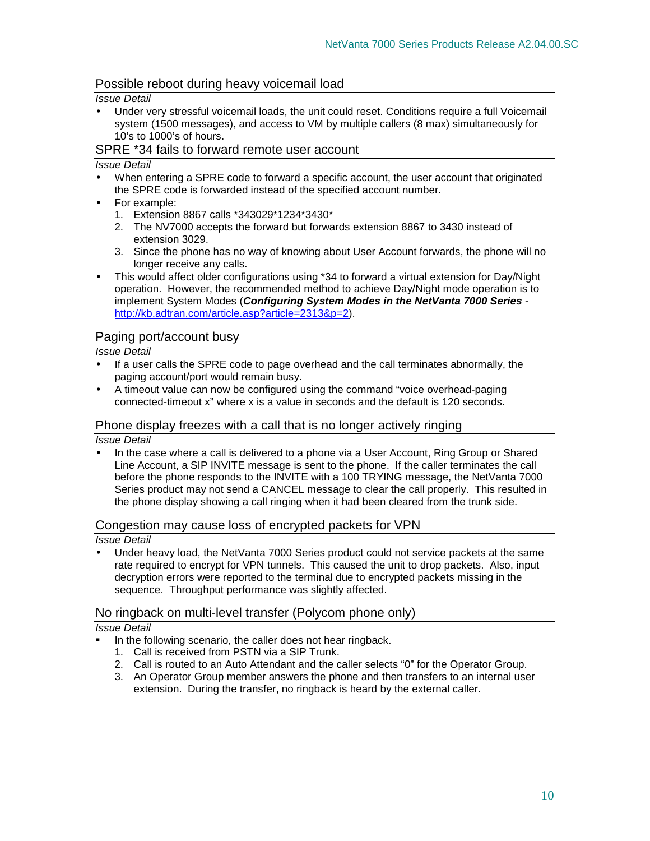## Possible reboot during heavy voicemail load

#### Issue Detail

• Under very stressful voicemail loads, the unit could reset. Conditions require a full Voicemail system (1500 messages), and access to VM by multiple callers (8 max) simultaneously for 10's to 1000's of hours.

#### SPRE \*34 fails to forward remote user account

#### Issue Detail

- When entering a SPRE code to forward a specific account, the user account that originated the SPRE code is forwarded instead of the specified account number.
- For example:
	- 1. Extension 8867 calls \*343029\*1234\*3430\*
	- 2. The NV7000 accepts the forward but forwards extension 8867 to 3430 instead of extension 3029.
	- 3. Since the phone has no way of knowing about User Account forwards, the phone will no longer receive any calls.
- This would affect older configurations using \*34 to forward a virtual extension for Day/Night operation. However, the recommended method to achieve Day/Night mode operation is to implement System Modes (**Configuring System Modes in the NetVanta 7000 Series** http://kb.adtran.com/article.asp?article=2313&p=2).

#### Paging port/account busy

Issue Detail

- If a user calls the SPRE code to page overhead and the call terminates abnormally, the paging account/port would remain busy.
- A timeout value can now be configured using the command "voice overhead-paging connected-timeout x" where x is a value in seconds and the default is 120 seconds.

#### Phone display freezes with a call that is no longer actively ringing

Issue Detail

• In the case where a call is delivered to a phone via a User Account, Ring Group or Shared Line Account, a SIP INVITE message is sent to the phone. If the caller terminates the call before the phone responds to the INVITE with a 100 TRYING message, the NetVanta 7000 Series product may not send a CANCEL message to clear the call properly. This resulted in the phone display showing a call ringing when it had been cleared from the trunk side.

#### Congestion may cause loss of encrypted packets for VPN

#### Issue Detail

• Under heavy load, the NetVanta 7000 Series product could not service packets at the same rate required to encrypt for VPN tunnels. This caused the unit to drop packets. Also, input decryption errors were reported to the terminal due to encrypted packets missing in the sequence. Throughput performance was slightly affected.

#### No ringback on multi-level transfer (Polycom phone only)

#### Issue Detail

- In the following scenario, the caller does not hear ringback.
	- 1. Call is received from PSTN via a SIP Trunk.
	- 2. Call is routed to an Auto Attendant and the caller selects "0" for the Operator Group.
	- 3. An Operator Group member answers the phone and then transfers to an internal user extension. During the transfer, no ringback is heard by the external caller.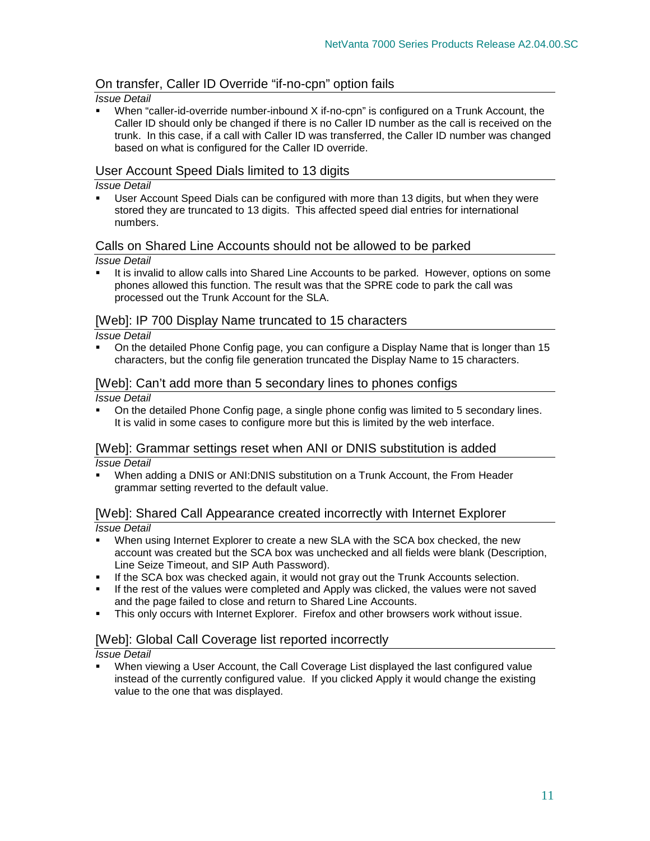## On transfer, Caller ID Override "if-no-cpn" option fails

#### Issue Detail

 When "caller-id-override number-inbound X if-no-cpn" is configured on a Trunk Account, the Caller ID should only be changed if there is no Caller ID number as the call is received on the trunk. In this case, if a call with Caller ID was transferred, the Caller ID number was changed based on what is configured for the Caller ID override.

#### User Account Speed Dials limited to 13 digits

#### Issue Detail

 User Account Speed Dials can be configured with more than 13 digits, but when they were stored they are truncated to 13 digits. This affected speed dial entries for international numbers.

#### Calls on Shared Line Accounts should not be allowed to be parked

#### Issue Detail

 It is invalid to allow calls into Shared Line Accounts to be parked. However, options on some phones allowed this function. The result was that the SPRE code to park the call was processed out the Trunk Account for the SLA.

#### [Web]: IP 700 Display Name truncated to 15 characters

#### Issue Detail

 On the detailed Phone Config page, you can configure a Display Name that is longer than 15 characters, but the config file generation truncated the Display Name to 15 characters.

#### [Web]: Can't add more than 5 secondary lines to phones configs

Issue Detail

 On the detailed Phone Config page, a single phone config was limited to 5 secondary lines. It is valid in some cases to configure more but this is limited by the web interface.

#### [Web]: Grammar settings reset when ANI or DNIS substitution is added

Issue Detail

 When adding a DNIS or ANI:DNIS substitution on a Trunk Account, the From Header grammar setting reverted to the default value.

## [Web]: Shared Call Appearance created incorrectly with Internet Explorer

#### Issue Detail

- When using Internet Explorer to create a new SLA with the SCA box checked, the new account was created but the SCA box was unchecked and all fields were blank (Description, Line Seize Timeout, and SIP Auth Password).
- If the SCA box was checked again, it would not gray out the Trunk Accounts selection.
- **If the rest of the values were completed and Apply was clicked, the values were not saved** and the page failed to close and return to Shared Line Accounts.
- This only occurs with Internet Explorer. Firefox and other browsers work without issue.

## [Web]: Global Call Coverage list reported incorrectly

Issue Detail

 When viewing a User Account, the Call Coverage List displayed the last configured value instead of the currently configured value. If you clicked Apply it would change the existing value to the one that was displayed.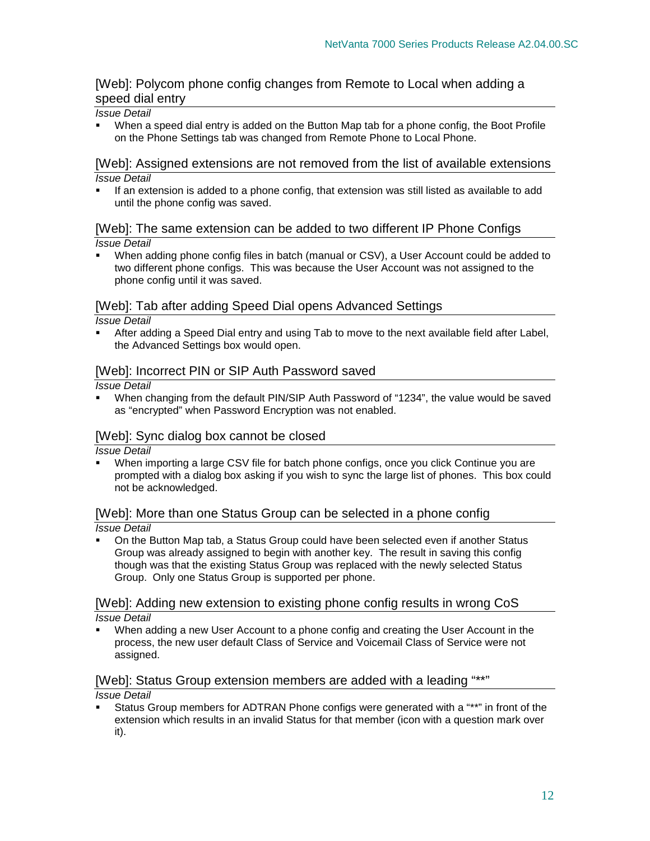## [Web]: Polycom phone config changes from Remote to Local when adding a speed dial entry

#### Issue Detail

 When a speed dial entry is added on the Button Map tab for a phone config, the Boot Profile on the Phone Settings tab was changed from Remote Phone to Local Phone.

#### [Web]: Assigned extensions are not removed from the list of available extensions Issue Detail

 If an extension is added to a phone config, that extension was still listed as available to add until the phone config was saved.

#### [Web]: The same extension can be added to two different IP Phone Configs Issue Detail

 When adding phone config files in batch (manual or CSV), a User Account could be added to two different phone configs. This was because the User Account was not assigned to the phone config until it was saved.

#### [Web]: Tab after adding Speed Dial opens Advanced Settings

#### Issue Detail

 After adding a Speed Dial entry and using Tab to move to the next available field after Label, the Advanced Settings box would open.

#### [Web]: Incorrect PIN or SIP Auth Password saved

#### Issue Detail

 When changing from the default PIN/SIP Auth Password of "1234", the value would be saved as "encrypted" when Password Encryption was not enabled.

#### [Web]: Sync dialog box cannot be closed

Issue Detail

 When importing a large CSV file for batch phone configs, once you click Continue you are prompted with a dialog box asking if you wish to sync the large list of phones. This box could not be acknowledged.

## [Web]: More than one Status Group can be selected in a phone config

#### Issue Detail

 On the Button Map tab, a Status Group could have been selected even if another Status Group was already assigned to begin with another key. The result in saving this config though was that the existing Status Group was replaced with the newly selected Status Group. Only one Status Group is supported per phone.

#### [Web]: Adding new extension to existing phone config results in wrong CoS Issue Detail

 When adding a new User Account to a phone config and creating the User Account in the process, the new user default Class of Service and Voicemail Class of Service were not assigned.

## [Web]: Status Group extension members are added with a leading "\*\*"

#### Issue Detail

 Status Group members for ADTRAN Phone configs were generated with a "\*\*" in front of the extension which results in an invalid Status for that member (icon with a question mark over it).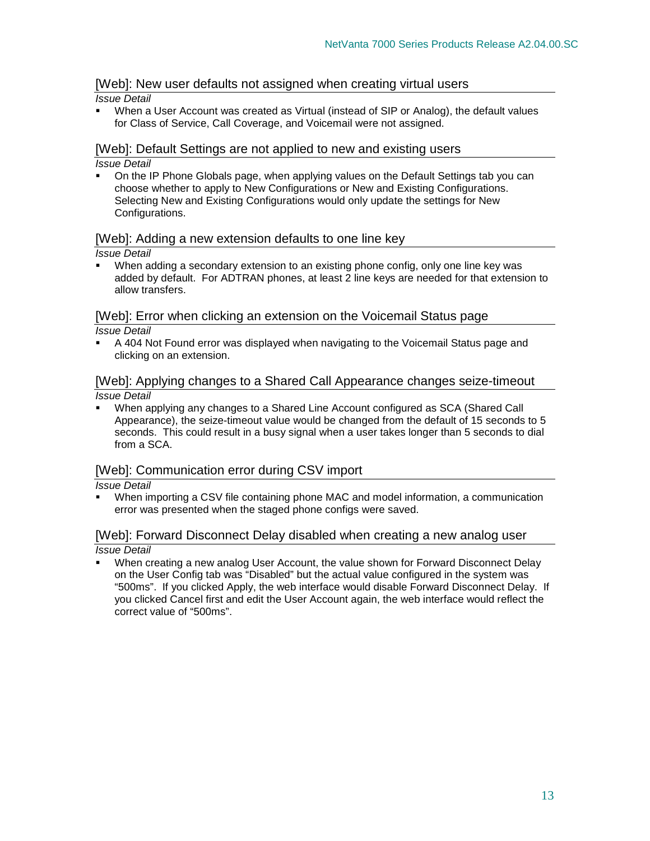## [Web]: New user defaults not assigned when creating virtual users

#### Issue Detail

 When a User Account was created as Virtual (instead of SIP or Analog), the default values for Class of Service, Call Coverage, and Voicemail were not assigned.

#### [Web]: Default Settings are not applied to new and existing users Issue Detail

 On the IP Phone Globals page, when applying values on the Default Settings tab you can choose whether to apply to New Configurations or New and Existing Configurations. Selecting New and Existing Configurations would only update the settings for New

#### Configurations.

#### [Web]: Adding a new extension defaults to one line key

Issue Detail

 When adding a secondary extension to an existing phone config, only one line key was added by default. For ADTRAN phones, at least 2 line keys are needed for that extension to allow transfers.

#### [Web]: Error when clicking an extension on the Voicemail Status page Issue Detail

 A 404 Not Found error was displayed when navigating to the Voicemail Status page and clicking on an extension.

#### [Web]: Applying changes to a Shared Call Appearance changes seize-timeout Issue Detail

 When applying any changes to a Shared Line Account configured as SCA (Shared Call Appearance), the seize-timeout value would be changed from the default of 15 seconds to 5 seconds. This could result in a busy signal when a user takes longer than 5 seconds to dial from a SCA.

## [Web]: Communication error during CSV import

Issue Detail

 When importing a CSV file containing phone MAC and model information, a communication error was presented when the staged phone configs were saved.

## [Web]: Forward Disconnect Delay disabled when creating a new analog user

Issue Detail

 When creating a new analog User Account, the value shown for Forward Disconnect Delay on the User Config tab was "Disabled" but the actual value configured in the system was "500ms". If you clicked Apply, the web interface would disable Forward Disconnect Delay. If you clicked Cancel first and edit the User Account again, the web interface would reflect the correct value of "500ms".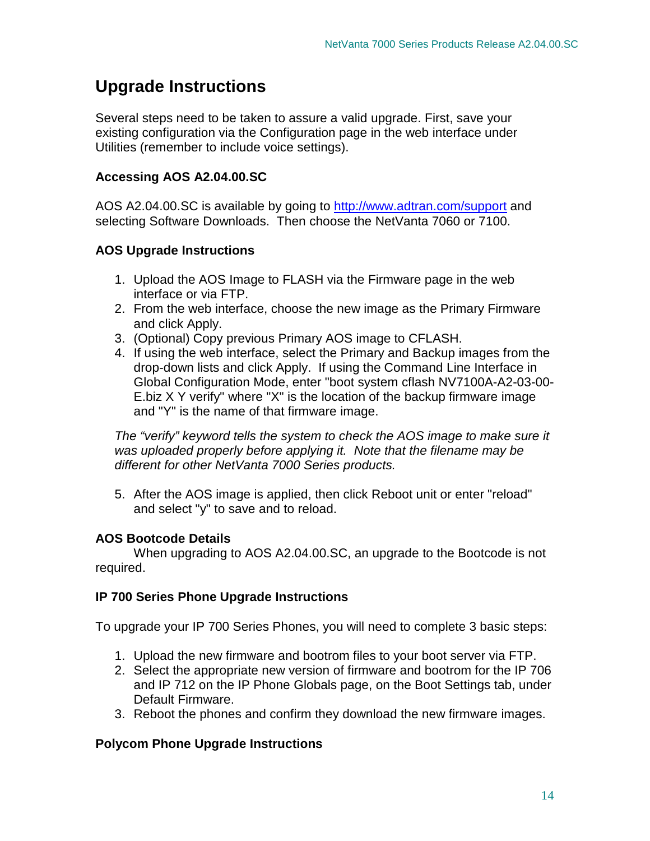## **Upgrade Instructions**

Several steps need to be taken to assure a valid upgrade. First, save your existing configuration via the Configuration page in the web interface under Utilities (remember to include voice settings).

## **Accessing AOS A2.04.00.SC**

AOS A2.04.00.SC is available by going to http://www.adtran.com/support and selecting Software Downloads. Then choose the NetVanta 7060 or 7100.

## **AOS Upgrade Instructions**

- 1. Upload the AOS Image to FLASH via the Firmware page in the web interface or via FTP.
- 2. From the web interface, choose the new image as the Primary Firmware and click Apply.
- 3. (Optional) Copy previous Primary AOS image to CFLASH.
- 4. If using the web interface, select the Primary and Backup images from the drop-down lists and click Apply. If using the Command Line Interface in Global Configuration Mode, enter "boot system cflash NV7100A-A2-03-00- E.biz X Y verify" where "X" is the location of the backup firmware image and "Y" is the name of that firmware image.

The "verify" keyword tells the system to check the AOS image to make sure it was uploaded properly before applying it. Note that the filename may be different for other NetVanta 7000 Series products.

5. After the AOS image is applied, then click Reboot unit or enter "reload" and select "y" to save and to reload.

## **AOS Bootcode Details**

When upgrading to AOS A2.04.00.SC, an upgrade to the Bootcode is not required.

## **IP 700 Series Phone Upgrade Instructions**

To upgrade your IP 700 Series Phones, you will need to complete 3 basic steps:

- 1. Upload the new firmware and bootrom files to your boot server via FTP.
- 2. Select the appropriate new version of firmware and bootrom for the IP 706 and IP 712 on the IP Phone Globals page, on the Boot Settings tab, under Default Firmware.
- 3. Reboot the phones and confirm they download the new firmware images.

## **Polycom Phone Upgrade Instructions**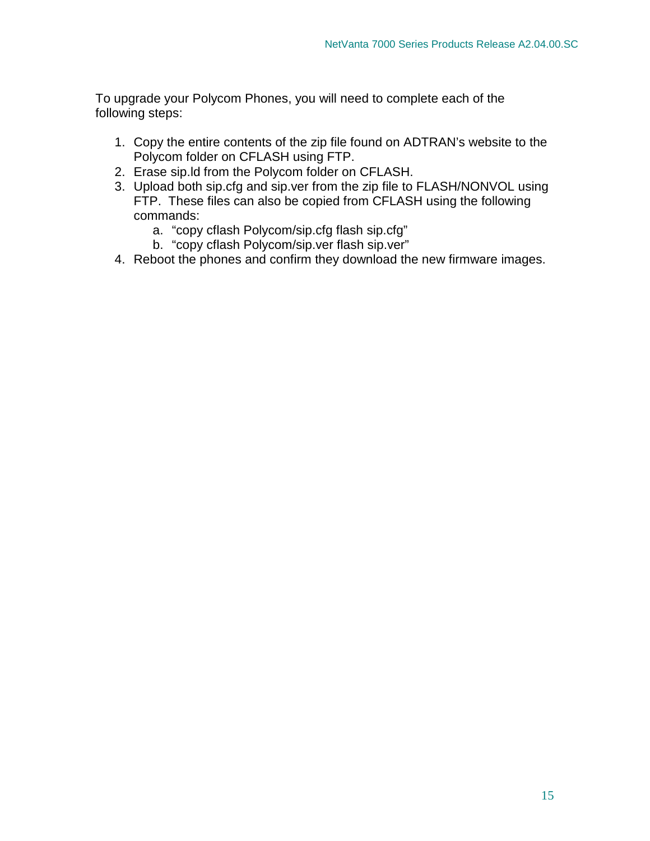To upgrade your Polycom Phones, you will need to complete each of the following steps:

- 1. Copy the entire contents of the zip file found on ADTRAN's website to the Polycom folder on CFLASH using FTP.
- 2. Erase sip.ld from the Polycom folder on CFLASH.
- 3. Upload both sip.cfg and sip.ver from the zip file to FLASH/NONVOL using FTP. These files can also be copied from CFLASH using the following commands:
	- a. "copy cflash Polycom/sip.cfg flash sip.cfg"
	- b. "copy cflash Polycom/sip.ver flash sip.ver"
- 4. Reboot the phones and confirm they download the new firmware images.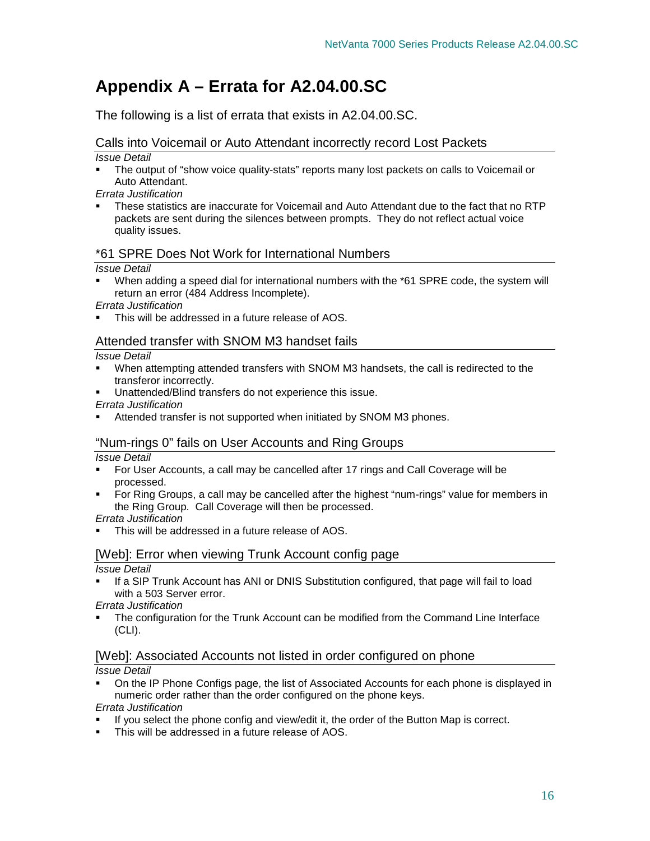## **Appendix A – Errata for A2.04.00.SC**

The following is a list of errata that exists in A2.04.00.SC.

## Calls into Voicemail or Auto Attendant incorrectly record Lost Packets

Issue Detail

- The output of "show voice quality-stats" reports many lost packets on calls to Voicemail or Auto Attendant.
- Errata Justification
- These statistics are inaccurate for Voicemail and Auto Attendant due to the fact that no RTP packets are sent during the silences between prompts. They do not reflect actual voice quality issues.

## \*61 SPRE Does Not Work for International Numbers

## Issue Detail

 When adding a speed dial for international numbers with the \*61 SPRE code, the system will return an error (484 Address Incomplete).

Errata Justification

This will be addressed in a future release of AOS.

## Attended transfer with SNOM M3 handset fails

#### Issue Detail

- When attempting attended transfers with SNOM M3 handsets, the call is redirected to the transferor incorrectly.
- Unattended/Blind transfers do not experience this issue.

Errata Justification

Attended transfer is not supported when initiated by SNOM M3 phones.

## "Num-rings 0" fails on User Accounts and Ring Groups

Issue Detail

- For User Accounts, a call may be cancelled after 17 rings and Call Coverage will be processed.
- For Ring Groups, a call may be cancelled after the highest "num-rings" value for members in the Ring Group. Call Coverage will then be processed.

Errata Justification

This will be addressed in a future release of AOS.

## [Web]: Error when viewing Trunk Account config page

Issue Detail

 If a SIP Trunk Account has ANI or DNIS Substitution configured, that page will fail to load with a 503 Server error.

Errata Justification

 The configuration for the Trunk Account can be modified from the Command Line Interface (CLI).

## [Web]: Associated Accounts not listed in order configured on phone

## Issue Detail

 On the IP Phone Configs page, the list of Associated Accounts for each phone is displayed in numeric order rather than the order configured on the phone keys.

Errata Justification

- If you select the phone config and view/edit it, the order of the Button Map is correct.
- This will be addressed in a future release of AOS.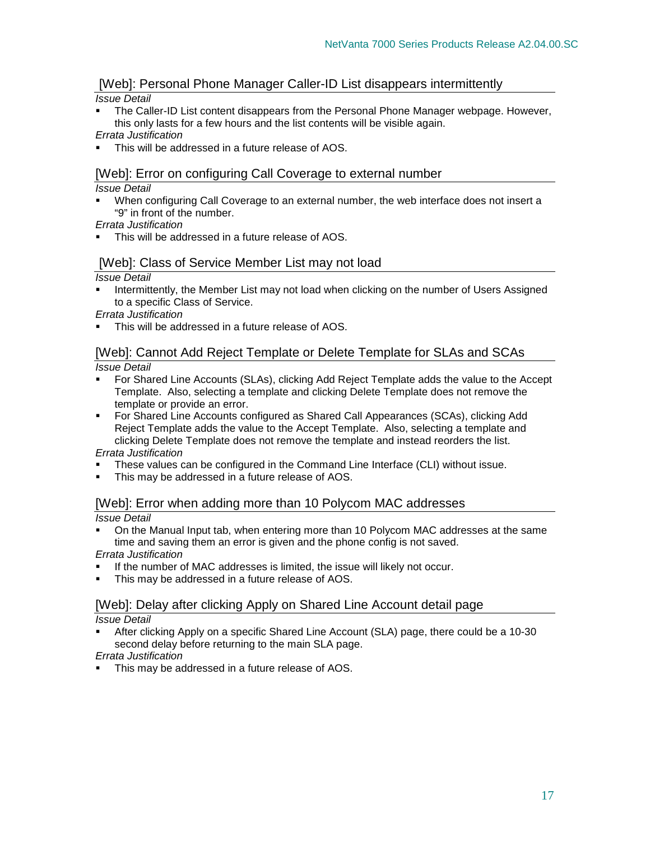## [Web]: Personal Phone Manager Caller-ID List disappears intermittently

#### Issue Detail

 The Caller-ID List content disappears from the Personal Phone Manager webpage. However, this only lasts for a few hours and the list contents will be visible again.

Errata Justification

This will be addressed in a future release of AOS.

## [Web]: Error on configuring Call Coverage to external number

#### Issue Detail

 When configuring Call Coverage to an external number, the web interface does not insert a "9" in front of the number.

Errata Justification

This will be addressed in a future release of AOS.

## [Web]: Class of Service Member List may not load

Issue Detail

 Intermittently, the Member List may not load when clicking on the number of Users Assigned to a specific Class of Service.

Errata Justification

This will be addressed in a future release of AOS.

## [Web]: Cannot Add Reject Template or Delete Template for SLAs and SCAs Issue Detail

- For Shared Line Accounts (SLAs), clicking Add Reject Template adds the value to the Accept Template. Also, selecting a template and clicking Delete Template does not remove the template or provide an error.
- For Shared Line Accounts configured as Shared Call Appearances (SCAs), clicking Add Reject Template adds the value to the Accept Template. Also, selecting a template and clicking Delete Template does not remove the template and instead reorders the list. Errata Justification

These values can be configured in the Command Line Interface (CLI) without issue.

• This may be addressed in a future release of AOS.

## [Web]: Error when adding more than 10 Polycom MAC addresses

Issue Detail

 On the Manual Input tab, when entering more than 10 Polycom MAC addresses at the same time and saving them an error is given and the phone config is not saved.

Errata Justification

- If the number of MAC addresses is limited, the issue will likely not occur.
- This may be addressed in a future release of AOS.

## [Web]: Delay after clicking Apply on Shared Line Account detail page

Issue Detail

 After clicking Apply on a specific Shared Line Account (SLA) page, there could be a 10-30 second delay before returning to the main SLA page.

Errata Justification

This may be addressed in a future release of AOS.